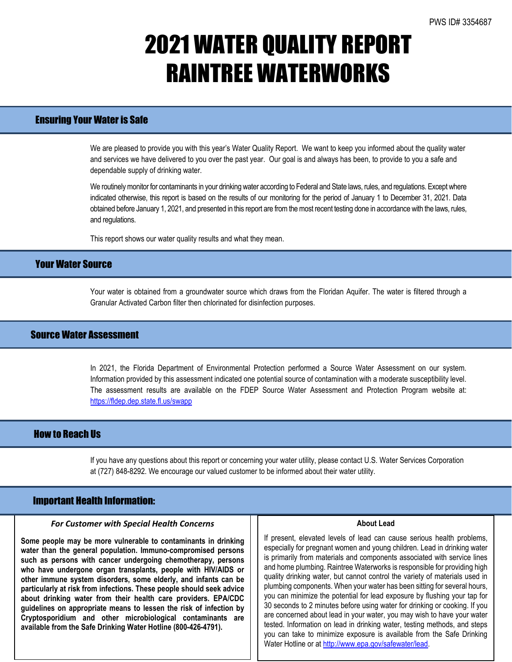# 2021 WATER QUALITY REPORT RAINTREE WATERWORKS

### Ensuring Your Water is Safe

We are pleased to provide you with this year's Water Quality Report. We want to keep you informed about the quality water and services we have delivered to you over the past year. Our goal is and always has been, to provide to you a safe and dependable supply of drinking water.

We routinely monitor for contaminants in your drinking water according to Federal and State laws, rules, and regulations. Except where indicated otherwise, this report is based on the results of our monitoring for the period of January 1 to December 31, 2021. Data obtained before January 1, 2021, and presented in this report are from the most recent testing done in accordance with the laws, rules, and regulations.

This report shows our water quality results and what they mean.

## Your Water Source

Your water is obtained from a groundwater source which draws from the Floridan Aquifer. The water is filtered through a Granular Activated Carbon filter then chlorinated for disinfection purposes.

### Source Water Assessment

In 2021, the Florida Department of Environmental Protection performed a Source Water Assessment on our system. Information provided by this assessment indicated one potential source of contamination with a moderate susceptibility level. The assessment results are available on the FDEP Source Water Assessment and Protection Program website at: <https://fldep.dep.state.fl.us/swapp>

### How to Reach Us

If you have any questions about this report or concerning your water utility, please contact U.S. Water Services Corporation at (727) 848-8292. We encourage our valued customer to be informed about their water utility.

### Important Health Information:

l

#### *For Customer with Special Health Concerns*

**Some people may be more vulnerable to contaminants in drinking water than the general population. Immuno-compromised persons such as persons with cancer undergoing chemotherapy, persons who have undergone organ transplants, people with HIV/AIDS or other immune system disorders, some elderly, and infants can be particularly at risk from infections. These people should seek advice about drinking water from their health care providers. EPA/CDC guidelines on appropriate means to lessen the risk of infection by Cryptosporidium and other microbiological contaminants are available from the Safe Drinking Water Hotline (800-426-4791).**

#### **About Lead**

If present, elevated levels of lead can cause serious health problems, especially for pregnant women and young children. Lead in drinking water is primarily from materials and components associated with service lines and home plumbing. Raintree Waterworks is responsible for providing high quality drinking water, but cannot control the variety of materials used in plumbing components. When your water has been sitting for several hours, you can minimize the potential for lead exposure by flushing your tap for 30 seconds to 2 minutes before using water for drinking or cooking. If you are concerned about lead in your water, you may wish to have your water tested. Information on lead in drinking water, testing methods, and steps you can take to minimize exposure is available from the Safe Drinking Water Hotline or a[t http://www.epa.gov/safewater/lead.](http://www.epa.gov/safewater/lead)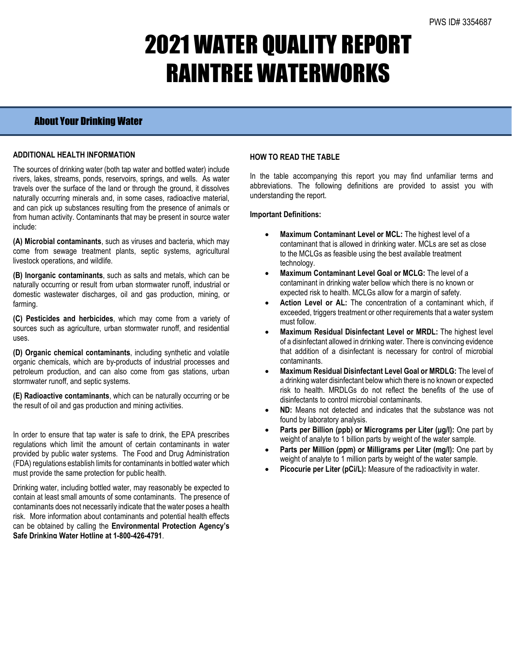# 2021 WATER QUALITY REPORT RAINTREE WATERWORKS

## About Your Drinking Water

### **ADDITIONAL HEALTH INFORMATION**

The sources of drinking water (both tap water and bottled water) include rivers, lakes, streams, ponds, reservoirs, springs, and wells. As water travels over the surface of the land or through the ground, it dissolves naturally occurring minerals and, in some cases, radioactive material, and can pick up substances resulting from the presence of animals or from human activity. Contaminants that may be present in source water include:

**(A) Microbial contaminants**, such as viruses and bacteria, which may come from sewage treatment plants, septic systems, agricultural livestock operations, and wildlife.

**(B) Inorganic contaminants**, such as salts and metals, which can be naturally occurring or result from urban stormwater runoff, industrial or domestic wastewater discharges, oil and gas production, mining, or farming.

**(C) Pesticides and herbicides**, which may come from a variety of sources such as agriculture, urban stormwater runoff, and residential uses.

**(D) Organic chemical contaminants**, including synthetic and volatile organic chemicals, which are by-products of industrial processes and petroleum production, and can also come from gas stations, urban stormwater runoff, and septic systems.

**(E) Radioactive contaminants**, which can be naturally occurring or be the result of oil and gas production and mining activities.

In order to ensure that tap water is safe to drink, the EPA prescribes regulations which limit the amount of certain contaminants in water provided by public water systems. The Food and Drug Administration (FDA) regulations establish limits for contaminants in bottled water which must provide the same protection for public health.

Drinking water, including bottled water, may reasonably be expected to contain at least small amounts of some contaminants. The presence of contaminants does not necessarily indicate that the water poses a health risk. More information about contaminants and potential health effects can be obtained by calling the **Environmental Protection Agency's Safe Drinking Water Hotline at 1-800-426-4791**.

### **HOW TO READ THE TABLE**

In the table accompanying this report you may find unfamiliar terms and abbreviations. The following definitions are provided to assist you with understanding the report.

#### **Important Definitions:**

- **Maximum Contaminant Level or MCL:** The highest level of a contaminant that is allowed in drinking water. MCLs are set as close to the MCLGs as feasible using the best available treatment technology.
- **Maximum Contaminant Level Goal or MCLG:** The level of a contaminant in drinking water bellow which there is no known or expected risk to health. MCLGs allow for a margin of safety.
- Action Level or AL: The concentration of a contaminant which, if exceeded, triggers treatment or other requirements that a water system must follow.
- **Maximum Residual Disinfectant Level or MRDL:** The highest level of a disinfectant allowed in drinking water. There is convincing evidence that addition of a disinfectant is necessary for control of microbial contaminants.
- **Maximum Residual Disinfectant Level Goal or MRDLG:** The level of a drinking water disinfectant below which there is no known or expected risk to health. MRDLGs do not reflect the benefits of the use of disinfectants to control microbial contaminants.
- **ND:** Means not detected and indicates that the substance was not found by laboratory analysis.
- **Parts per Billion (ppb) or Micrograms per Liter (μg/l):** One part by weight of analyte to 1 billion parts by weight of the water sample.
- **Parts per Million (ppm) or Milligrams per Liter (mg/l):** One part by weight of analyte to 1 million parts by weight of the water sample.
- Picocurie per Liter (pCi/L): Measure of the radioactivity in water.